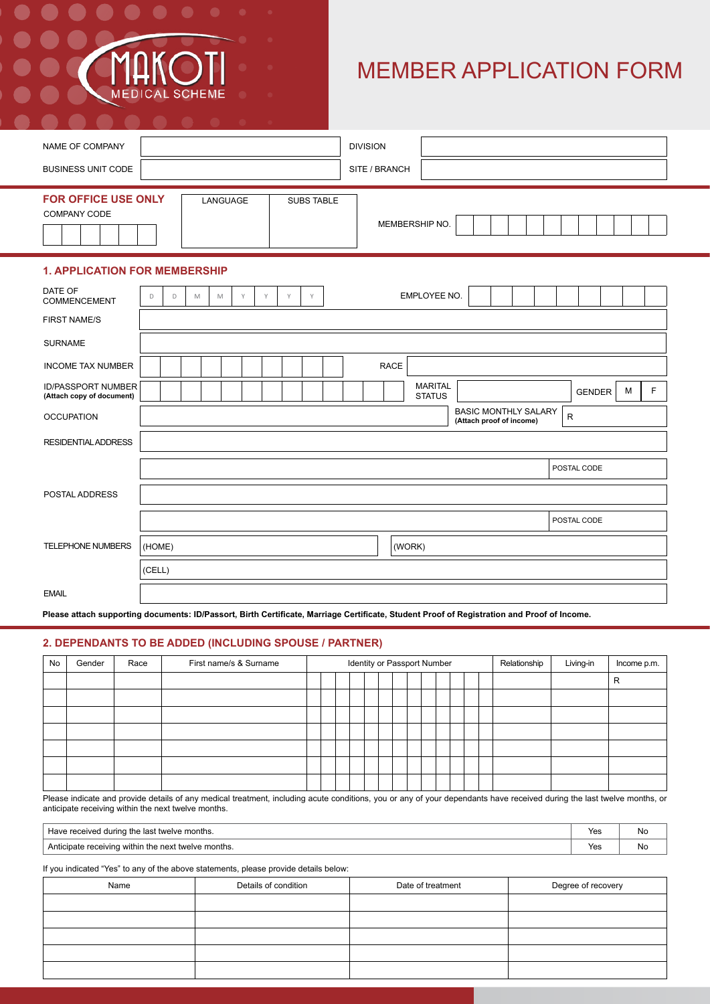# MEMBER APPLICATION FORM

| <b>DIVISION</b><br>NAME OF COMPANY<br><b>BUSINESS UNIT CODE</b><br>SITE / BRANCH<br><b>FOR OFFICE USE ONLY</b><br>LANGUAGE<br><b>SUBS TABLE</b><br>COMPANY CODE<br>MEMBERSHIP NO.<br><b>1. APPLICATION FOR MEMBERSHIP</b><br>DATE OF<br>EMPLOYEE NO.<br>Y<br>Y<br>D<br>M<br>M<br>Y<br>Y<br>D<br><b>COMMENCEMENT</b><br><b>FIRST NAME/S</b><br><b>SURNAME</b><br><b>RACE</b><br><b>INCOME TAX NUMBER</b><br><b>MARITAL</b><br><b>ID/PASSPORT NUMBER</b><br>F.<br>M<br>GENDER<br>(Attach copy of document)<br><b>STATUS</b><br><b>BASIC MONTHLY SALARY</b><br>${\sf R}$<br><b>OCCUPATION</b><br>(Attach proof of income)<br><b>RESIDENTIAL ADDRESS</b><br>POSTAL CODE<br>POSTAL ADDRESS<br>POSTAL CODE<br>TELEPHONE NUMBERS<br>(HOME)<br>(WORK)<br>(CELL)<br><b>EMAIL</b> |  |
|-------------------------------------------------------------------------------------------------------------------------------------------------------------------------------------------------------------------------------------------------------------------------------------------------------------------------------------------------------------------------------------------------------------------------------------------------------------------------------------------------------------------------------------------------------------------------------------------------------------------------------------------------------------------------------------------------------------------------------------------------------------------------|--|
|                                                                                                                                                                                                                                                                                                                                                                                                                                                                                                                                                                                                                                                                                                                                                                         |  |
|                                                                                                                                                                                                                                                                                                                                                                                                                                                                                                                                                                                                                                                                                                                                                                         |  |
|                                                                                                                                                                                                                                                                                                                                                                                                                                                                                                                                                                                                                                                                                                                                                                         |  |
|                                                                                                                                                                                                                                                                                                                                                                                                                                                                                                                                                                                                                                                                                                                                                                         |  |
|                                                                                                                                                                                                                                                                                                                                                                                                                                                                                                                                                                                                                                                                                                                                                                         |  |
|                                                                                                                                                                                                                                                                                                                                                                                                                                                                                                                                                                                                                                                                                                                                                                         |  |
|                                                                                                                                                                                                                                                                                                                                                                                                                                                                                                                                                                                                                                                                                                                                                                         |  |
|                                                                                                                                                                                                                                                                                                                                                                                                                                                                                                                                                                                                                                                                                                                                                                         |  |
|                                                                                                                                                                                                                                                                                                                                                                                                                                                                                                                                                                                                                                                                                                                                                                         |  |
|                                                                                                                                                                                                                                                                                                                                                                                                                                                                                                                                                                                                                                                                                                                                                                         |  |
|                                                                                                                                                                                                                                                                                                                                                                                                                                                                                                                                                                                                                                                                                                                                                                         |  |
|                                                                                                                                                                                                                                                                                                                                                                                                                                                                                                                                                                                                                                                                                                                                                                         |  |
|                                                                                                                                                                                                                                                                                                                                                                                                                                                                                                                                                                                                                                                                                                                                                                         |  |
|                                                                                                                                                                                                                                                                                                                                                                                                                                                                                                                                                                                                                                                                                                                                                                         |  |
|                                                                                                                                                                                                                                                                                                                                                                                                                                                                                                                                                                                                                                                                                                                                                                         |  |
|                                                                                                                                                                                                                                                                                                                                                                                                                                                                                                                                                                                                                                                                                                                                                                         |  |

**Please attach supporting documents: ID/Passort, Birth Certificate, Marriage Certificate, Student Proof of Registration and Proof of Income.**

### **2. DEPENDANTS TO BE ADDED (INCLUDING SPOUSE / PARTNER)**

**SCHEME** 

| No | Gender | Race | First name/s & Surname | Identity or Passport Number |  |  |  |  |  |  |  | Relationship | Living-in | Income p.m. |  |  |   |
|----|--------|------|------------------------|-----------------------------|--|--|--|--|--|--|--|--------------|-----------|-------------|--|--|---|
|    |        |      |                        |                             |  |  |  |  |  |  |  |              |           |             |  |  | R |
|    |        |      |                        |                             |  |  |  |  |  |  |  |              |           |             |  |  |   |
|    |        |      |                        |                             |  |  |  |  |  |  |  |              |           |             |  |  |   |
|    |        |      |                        |                             |  |  |  |  |  |  |  |              |           |             |  |  |   |
|    |        |      |                        |                             |  |  |  |  |  |  |  |              |           |             |  |  |   |
|    |        |      |                        |                             |  |  |  |  |  |  |  |              |           |             |  |  |   |
|    |        |      |                        |                             |  |  |  |  |  |  |  |              |           |             |  |  |   |

Please indicate and provide details of any medical treatment, including acute conditions, you or any of your dependants have received during the last twelve months, or anticipate receiving within the next twelve months.

| Ne months.<br>l during the last twel<br><b>Have</b><br>e received.<br>tweive        | $\mathcal{L}$<br>. ت<br>$\cdot$ . | <b>No</b> |
|-------------------------------------------------------------------------------------|-----------------------------------|-----------|
| receiving<br>ne⊻t<br>months.<br>twelve<br>ı within<br>– Anticin≘<br>⊧ the<br>15 A L | $\mathcal{L}$<br>. U.             | <b>No</b> |

If you indicated "Yes" to any of the above statements, please provide details below:

| Name | Details of condition | Date of treatment | Degree of recovery |
|------|----------------------|-------------------|--------------------|
|      |                      |                   |                    |
|      |                      |                   |                    |
|      |                      |                   |                    |
|      |                      |                   |                    |
|      |                      |                   |                    |